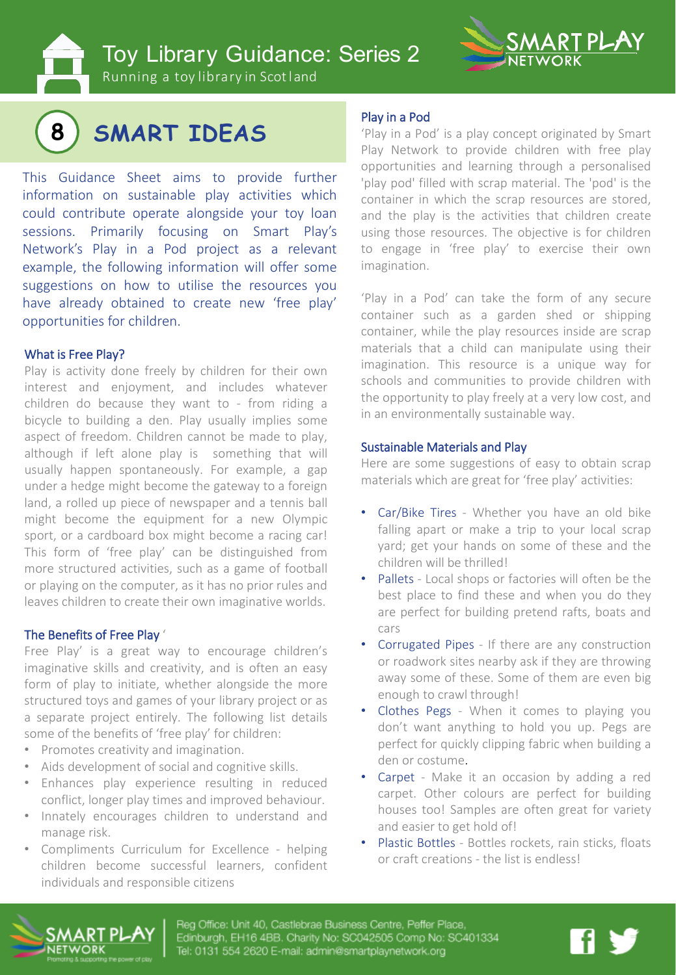Toy Library Guidance: Series 2



Running a toy library in Scotland



This Guidance Sheet aims to provide further information on sustainable play activities which could contribute operate alongside your toy loan sessions. Primarily focusing on Smart Play's Network's Play in a Pod project as a relevant example, the following information will offer some suggestions on how to utilise the resources you have already obtained to create new 'free play' opportunities for children.

#### What is Free Play?

Play is activity done freely by children for their own interest and enjoyment, and includes whatever children do because they want to - from riding a bicycle to building a den. Play usually implies some aspect of freedom. Children cannot be made to play, although if left alone play is something that will usually happen spontaneously. For example, a gap under a hedge might become the gateway to a foreign land, a rolled up piece of newspaper and a tennis ball might become the equipment for a new Olympic sport, or a cardboard box might become a racing car! This form of 'free play' can be distinguished from more structured activities, such as a game of football or playing on the computer, as it has no prior rules and leaves children to create their own imaginative worlds.

#### The Benefits of Free Play '

Free Play' is a great way to encourage children's imaginative skills and creativity, and is often an easy form of play to initiate, whether alongside the more structured toys and games of your library project or as a separate project entirely. The following list details some of the benefits of 'free play' for children:

- Promotes creativity and imagination.
- Aids development of social and cognitive skills.
- Enhances play experience resulting in reduced conflict, longer play times and improved behaviour.
- Innately encourages children to understand and manage risk.
- Compliments Curriculum for Excellence helping children become successful learners, confident individuals and responsible citizens

#### Play in a Pod

'Play in a Pod' is a play concept originated by Smart Play Network to provide children with free play opportunities and learning through a personalised 'play pod' filled with scrap material. The 'pod' is the container in which the scrap resources are stored, and the play is the activities that children create using those resources. The objective is for children to engage in 'free play' to exercise their own imagination.

'Play in a Pod' can take the form of any secure container such as a garden shed or shipping container, while the play resources inside are scrap materials that a child can manipulate using their imagination. This resource is a unique way for schools and communities to provide children with the opportunity to play freely at a very low cost, and in an environmentally sustainable way.

#### Sustainable Materials and Play

Here are some suggestions of easy to obtain scrap materials which are great for 'free play' activities:

- Car/Bike Tires Whether you have an old bike falling apart or make a trip to your local scrap yard; get your hands on some of these and the children will be thrilled!
- Pallets Local shops or factories will often be the best place to find these and when you do they are perfect for building pretend rafts, boats and cars
- Corrugated Pipes If there are any construction or roadwork sites nearby ask if they are throwing away some of these. Some of them are even big enough to crawl through!
- Clothes Pegs When it comes to playing you don't want anything to hold you up. Pegs are perfect for quickly clipping fabric when building a den or costume.
- Carpet Make it an occasion by adding a red carpet. Other colours are perfect for building houses too! Samples are often great for variety and easier to get hold of!
- Plastic Bottles Bottles rockets, rain sticks, floats or craft creations - the list is endless!



eg Office: Unit 40, Castlebrae Business C dinburgh, EH16 4BB, Charity No: SC042505 Comp No: SC401334 il: 0131 E54 9820 E-mail: admin@smartplaynetwo